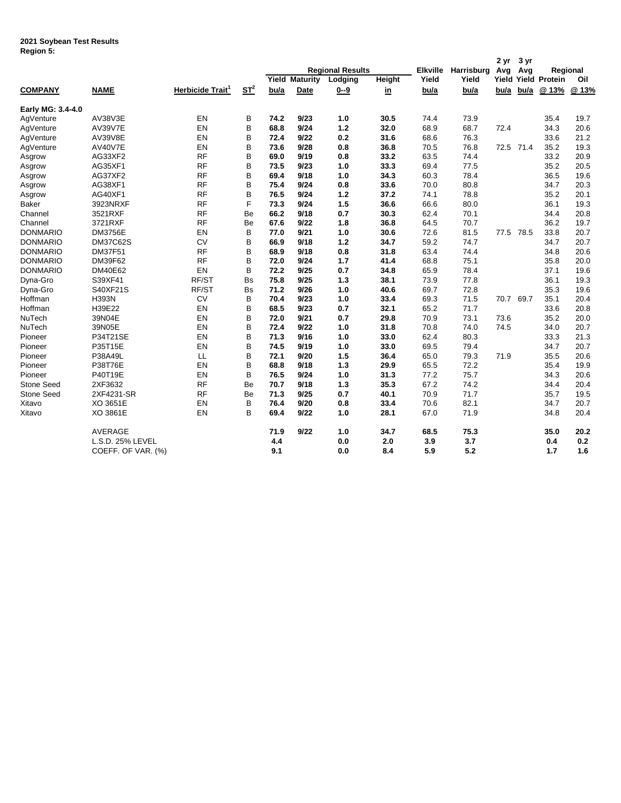## **2021 Soybean Test Results Region 5:**

| negiun J.         |                     |                              |           |              |                       |                         |              |                 |              | 2 yr | 3 yr      |                            |              |
|-------------------|---------------------|------------------------------|-----------|--------------|-----------------------|-------------------------|--------------|-----------------|--------------|------|-----------|----------------------------|--------------|
|                   |                     |                              |           |              |                       | <b>Regional Results</b> |              | <b>Elkville</b> | Harrisburg   | Avg  | Avg       |                            | Regional     |
|                   |                     |                              |           |              | <b>Yield Maturity</b> | Lodging                 | Height       | Yield           | Yield        |      |           | <b>Yield Yield Protein</b> | Oil          |
| <b>COMPANY</b>    | <b>NAME</b>         | Herbicide Trait <sup>1</sup> | $ST^2$    | bu/a         | Date                  | $0 - 9$                 | in           | bu/a            | bu/a         | bu/a | bu/a      | @ 13%                      | @13%         |
| Early MG: 3.4-4.0 |                     |                              |           |              |                       |                         |              |                 |              |      |           |                            |              |
| AgVenture         | AV38V3E             | EN                           | В         | 74.2         | 9/23                  | 1.0                     | 30.5         | 74.4            | 73.9         |      |           | 35.4                       | 19.7         |
| AgVenture         | AV39V7E             | EN                           | B         | 68.8         | 9/24                  | $1.2$                   | 32.0         | 68.9            | 68.7         | 72.4 |           | 34.3                       | 20.6         |
| AgVenture         | AV39V8E             | EN                           | B         | 72.4         | 9/22                  | 0.2                     | 31.6         | 68.6            | 76.3         |      |           | 33.6                       | 21.2         |
| AgVenture         | AV40V7E             | EN                           | B         | 73.6         | 9/28                  | 0.8                     | 36.8         | 70.5            | 76.8         |      | 72.5 71.4 | 35.2                       | 19.3         |
| Asgrow            | AG33XF2             | <b>RF</b>                    | B         | 69.0         | 9/19                  | 0.8                     | 33.2         | 63.5            | 74.4         |      |           | 33.2                       | 20.9         |
| Asgrow            | AG35XF1             | <b>RF</b>                    | B         | 73.5         | 9/23                  | 1.0                     | 33.3         | 69.4            | 77.5         |      |           | 35.2                       | 20.5         |
| Asgrow            | AG37XF2             | <b>RF</b>                    | B         | 69.4         | 9/18                  | 1.0                     | 34.3         | 60.3            | 78.4         |      |           | 36.5                       | 19.6         |
| Asgrow            | AG38XF1             | <b>RF</b>                    | B         | 75.4         | 9/24                  | 0.8                     | 33.6         | 70.0            | 80.8         |      |           | 34.7                       | 20.3         |
| Asgrow            | AG40XF1             | <b>RF</b>                    | B         | 76.5         | 9/24                  | $1.2$                   | 37.2         | 74.1            | 78.8         |      |           | 35.2                       | 20.1         |
| Baker             | 3923NRXF            | <b>RF</b>                    | F         | 73.3         | 9/24                  | 1.5                     | 36.6         | 66.6            | 80.0         |      |           | 36.1                       | 19.3         |
| Channel           | 3521RXF             | <b>RF</b>                    | Be        | 66.2         | 9/18                  | 0.7                     | 30.3         | 62.4            | 70.1         |      |           | 34.4                       | 20.8         |
| Channel           | 3721RXF             | <b>RF</b>                    | Be        | 67.6         | 9/22                  | 1.8                     | 36.8         | 64.5            | 70.7         |      |           | 36.2                       | 19.7         |
| <b>DONMARIO</b>   | <b>DM3756E</b>      | EN                           | B         | 77.0         | 9/21                  | 1.0                     | 30.6         | 72.6            | 81.5         | 77.5 | 78.5      | 33.8                       | 20.7         |
| <b>DONMARIO</b>   | <b>DM37C62S</b>     | <b>CV</b>                    | B         | 66.9         | 9/18                  | 1.2                     | 34.7         | 59.2            | 74.7         |      |           | 34.7                       | 20.7         |
| <b>DONMARIO</b>   | <b>DM37F51</b>      | <b>RF</b>                    | B         | 68.9         | 9/18                  | 0.8                     | 31.8         | 63.4            | 74.4         |      |           | 34.8                       | 20.6         |
| <b>DONMARIO</b>   | DM39F62             | <b>RF</b>                    | B         | 72.0         | 9/24                  | 1.7                     | 41.4         | 68.8            | 75.1         |      |           | 35.8                       | 20.0         |
| <b>DONMARIO</b>   | DM40E62             | EN                           | B         | 72.2         | 9/25                  | 0.7                     | 34.8         | 65.9            | 78.4         |      |           | 37.1                       | 19.6         |
| Dyna-Gro          | S39XF41             | RF/ST                        | <b>Bs</b> | 75.8         | 9/25                  | 1.3                     | 38.1         | 73.9            | 77.8         |      |           | 36.1                       | 19.3         |
| Dyna-Gro          | <b>S40XF21S</b>     | RF/ST                        | <b>Bs</b> | 71.2         | 9/26                  | 1.0                     | 40.6         | 69.7            | 72.8         |      |           | 35.3                       | 19.6         |
| Hoffman           | <b>H393N</b>        | <b>CV</b>                    | B         | 70.4         | 9/23                  | 1.0                     | 33.4         | 69.3            | 71.5         |      | 70.7 69.7 | 35.1                       | 20.4         |
| Hoffman           | H39E22              | EN                           | B         | 68.5         | 9/23                  | 0.7                     | 32.1         | 65.2            | 71.7         |      |           | 33.6                       | 20.8         |
| NuTech            | 39N04E              | EN                           | B         | 72.0         | 9/21                  | 0.7                     | 29.8         | 70.9            | 73.1         | 73.6 |           | 35.2                       | 20.0         |
|                   | 39N05E              | EN                           | B         | 72.4         | 9/22                  |                         | 31.8         | 70.8            | 74.0         | 74.5 |           |                            | 20.7         |
| NuTech            |                     |                              |           |              |                       | 1.0                     |              | 62.4            |              |      |           | 34.0                       |              |
| Pioneer           | P34T21SE<br>P35T15E | EN<br>EN                     | B<br>B    | 71.3<br>74.5 | 9/16<br>9/19          | 1.0                     | 33.0         |                 | 80.3         |      |           | 33.3                       | 21.3         |
| Pioneer           | P38A49L             | LL                           | B         | 72.1         | 9/20                  | 1.0<br>1.5              | 33.0<br>36.4 | 69.5            | 79.4<br>79.3 | 71.9 |           | 34.7<br>35.5               | 20.7<br>20.6 |
| Pioneer           | P38T76E             | EN                           | B         | 68.8         | 9/18                  |                         | 29.9         | 65.0<br>65.5    |              |      |           |                            | 19.9         |
| Pioneer           |                     |                              |           |              |                       | 1.3                     |              |                 | 72.2         |      |           | 35.4                       |              |
| Pioneer           | P40T19E             | EN                           | B         | 76.5         | 9/24                  | 1.0                     | 31.3         | 77.2            | 75.7         |      |           | 34.3                       | 20.6         |
| <b>Stone Seed</b> | 2XF3632             | <b>RF</b>                    | Be        | 70.7         | 9/18                  | 1.3                     | 35.3         | 67.2            | 74.2         |      |           | 34.4                       | 20.4         |
| <b>Stone Seed</b> | 2XF4231-SR          | <b>RF</b>                    | Be        | 71.3         | 9/25                  | 0.7                     | 40.1         | 70.9            | 71.7         |      |           | 35.7                       | 19.5         |
| Xitavo            | XO 3651E            | EN                           | B         | 76.4         | 9/20                  | 0.8                     | 33.4         | 70.6            | 82.1         |      |           | 34.7                       | 20.7         |
| Xitavo            | XO 3861E            | EN                           | B         | 69.4         | 9/22                  | 1.0                     | 28.1         | 67.0            | 71.9         |      |           | 34.8                       | 20.4         |
|                   | <b>AVERAGE</b>      |                              |           | 71.9         | 9/22                  | 1.0                     | 34.7         | 68.5            | 75.3         |      |           | 35.0                       | 20.2         |
|                   | L.S.D. 25% LEVEL    |                              |           | 4.4          |                       | 0.0                     | 2.0          | 3.9             | 3.7          |      |           | 0.4                        | 0.2          |
|                   | COEFF. OF VAR. (%)  |                              |           | 9.1          |                       | 0.0                     | 8.4          | 5.9             | 5.2          |      |           | 1.7                        | 1.6          |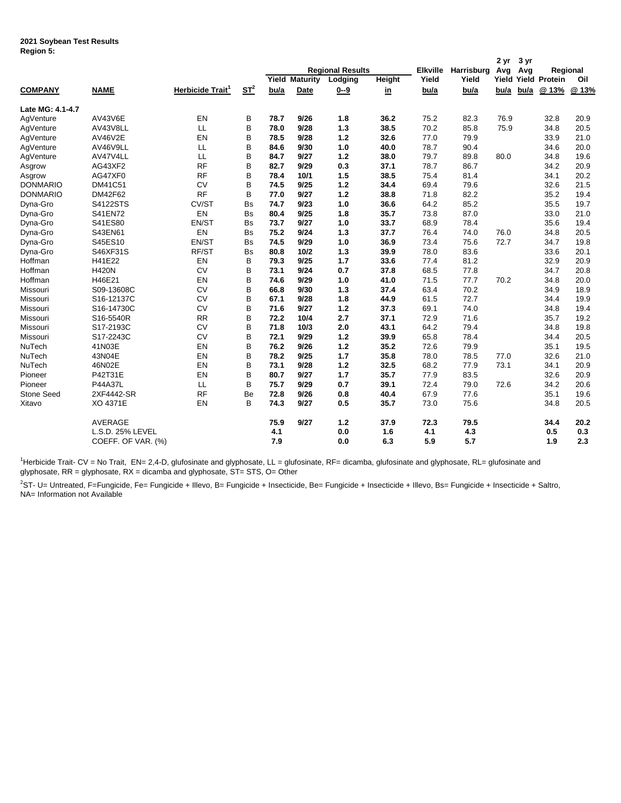## **2021 Soybean Test Results Region 5:**

|                  |                    |                              |                    |      |                       |                         |           |                 |            | 2 yr | 3 yr |                            |      |
|------------------|--------------------|------------------------------|--------------------|------|-----------------------|-------------------------|-----------|-----------------|------------|------|------|----------------------------|------|
|                  |                    |                              |                    |      |                       | <b>Regional Results</b> |           | <b>Elkville</b> | Harrisburg | Avg  | Avg  | Regional                   |      |
|                  |                    |                              |                    |      | <b>Yield Maturity</b> | Lodging                 | Height    | Yield           | Yield      |      |      | <b>Yield Yield Protein</b> | Oil  |
| <b>COMPANY</b>   | <b>NAME</b>        | Herbicide Trait <sup>1</sup> | $S_{\text{L}}^{2}$ | bu/a | Date                  | $0 - 9$                 | <u>in</u> | bu/a            | bu/a       | bu/a | bu/a | @ 13%                      | @13% |
| Late MG: 4.1-4.7 |                    |                              |                    |      |                       |                         |           |                 |            |      |      |                            |      |
| AgVenture        | AV43V6E            | EN                           | В                  | 78.7 | 9/26                  | 1.8                     | 36.2      | 75.2            | 82.3       | 76.9 |      | 32.8                       | 20.9 |
| AqVenture        | AV43V8LL           | LL                           | B                  | 78.0 | 9/28                  | 1.3                     | 38.5      | 70.2            | 85.8       | 75.9 |      | 34.8                       | 20.5 |
| AgVenture        | AV46V2E            | EN                           | B                  | 78.5 | 9/28                  | $1.2$                   | 32.6      | 77.0            | 79.9       |      |      | 33.9                       | 21.0 |
| AgVenture        | AV46V9LL           | LL                           | B                  | 84.6 | 9/30                  | $1.0$                   | 40.0      | 78.7            | 90.4       |      |      | 34.6                       | 20.0 |
| AgVenture        | AV47V4LL           | LL                           | B                  | 84.7 | 9/27                  | $1.2$                   | 38.0      | 79.7            | 89.8       | 80.0 |      | 34.8                       | 19.6 |
| Asgrow           | AG43XF2            | <b>RF</b>                    | B                  | 82.7 | 9/29                  | 0.3                     | 37.1      | 78.7            | 86.7       |      |      | 34.2                       | 20.9 |
| Asgrow           | AG47XF0            | <b>RF</b>                    | B                  | 78.4 | 10/1                  | 1.5                     | 38.5      | 75.4            | 81.4       |      |      | 34.1                       | 20.2 |
| <b>DONMARIO</b>  | DM41C51            | <b>CV</b>                    | B                  | 74.5 | 9/25                  | $1.2$                   | 34.4      | 69.4            | 79.6       |      |      | 32.6                       | 21.5 |
| <b>DONMARIO</b>  | DM42F62            | <b>RF</b>                    | B                  | 77.0 | 9/27                  | $1.2$                   | 38.8      | 71.8            | 82.2       |      |      | 35.2                       | 19.4 |
| Dyna-Gro         | S4122STS           | CV/ST                        | <b>Bs</b>          | 74.7 | 9/23                  | 1.0                     | 36.6      | 64.2            | 85.2       |      |      | 35.5                       | 19.7 |
| Dyna-Gro         | S41EN72            | EN                           | <b>Bs</b>          | 80.4 | 9/25                  | 1.8                     | 35.7      | 73.8            | 87.0       |      |      | 33.0                       | 21.0 |
| Dyna-Gro         | S41ES80            | EN/ST                        | <b>Bs</b>          | 73.7 | 9/27                  | 1.0                     | 33.7      | 68.9            | 78.4       |      |      | 35.6                       | 19.4 |
| Dyna-Gro         | S43EN61            | EN                           | <b>Bs</b>          | 75.2 | 9/24                  | 1.3                     | 37.7      | 76.4            | 74.0       | 76.0 |      | 34.8                       | 20.5 |
| Dyna-Gro         | S45ES10            | EN/ST                        | <b>Bs</b>          | 74.5 | 9/29                  | 1.0                     | 36.9      | 73.4            | 75.6       | 72.7 |      | 34.7                       | 19.8 |
| Dyna-Gro         | S46XF31S           | RF/ST                        | <b>Bs</b>          | 80.8 | 10/2                  | $1.3$                   | 39.9      | 78.0            | 83.6       |      |      | 33.6                       | 20.1 |
| Hoffman          | H41E22             | EN                           | B                  | 79.3 | 9/25                  | 1.7                     | 33.6      | 77.4            | 81.2       |      |      | 32.9                       | 20.9 |
| Hoffman          | <b>H420N</b>       | <b>CV</b>                    | В                  | 73.1 | 9/24                  | 0.7                     | 37.8      | 68.5            | 77.8       |      |      | 34.7                       | 20.8 |
| Hoffman          | H46E21             | EN                           | В                  | 74.6 | 9/29                  | 1.0                     | 41.0      | 71.5            | 77.7       | 70.2 |      | 34.8                       | 20.0 |
| Missouri         | S09-13608C         | <b>CV</b>                    | B                  | 66.8 | 9/30                  | 1.3                     | 37.4      | 63.4            | 70.2       |      |      | 34.9                       | 18.9 |
| Missouri         | S16-12137C         | <b>CV</b>                    | B                  | 67.1 | 9/28                  | 1.8                     | 44.9      | 61.5            | 72.7       |      |      | 34.4                       | 19.9 |
| Missouri         | S16-14730C         | <b>CV</b>                    | B                  | 71.6 | 9/27                  | $1.2$                   | 37.3      | 69.1            | 74.0       |      |      | 34.8                       | 19.4 |
| Missouri         | S16-5540R          | <b>RR</b>                    | B                  | 72.2 | 10/4                  | 2.7                     | 37.1      | 72.9            | 71.6       |      |      | 35.7                       | 19.2 |
| Missouri         | S17-2193C          | <b>CV</b>                    | B                  | 71.8 | 10/3                  | 2.0                     | 43.1      | 64.2            | 79.4       |      |      | 34.8                       | 19.8 |
| Missouri         | S17-2243C          | <b>CV</b>                    | B                  | 72.1 | 9/29                  | $1.2$                   | 39.9      | 65.8            | 78.4       |      |      | 34.4                       | 20.5 |
| NuTech           | 41N03E             | EN                           | В                  | 76.2 | 9/26                  | $1.2$                   | 35.2      | 72.6            | 79.9       |      |      | 35.1                       | 19.5 |
| NuTech           | 43N04E             | EN                           | B                  | 78.2 | 9/25                  | 1.7                     | 35.8      | 78.0            | 78.5       | 77.0 |      | 32.6                       | 21.0 |
| <b>NuTech</b>    | 46N02E             | EN                           | B                  | 73.1 | 9/28                  | $1.2$                   | 32.5      | 68.2            | 77.9       | 73.1 |      | 34.1                       | 20.9 |
| Pioneer          | P42T31E            | EN                           | B                  | 80.7 | 9/27                  | 1.7                     | 35.7      | 77.9            | 83.5       |      |      | 32.6                       | 20.9 |
| Pioneer          | <b>P44A37L</b>     | LL                           | B                  | 75.7 | 9/29                  | 0.7                     | 39.1      | 72.4            | 79.0       | 72.6 |      | 34.2                       | 20.6 |
| Stone Seed       | 2XF4442-SR         | <b>RF</b>                    | Be                 | 72.8 | 9/26                  | 0.8                     | 40.4      | 67.9            | 77.6       |      |      | 35.1                       | 19.6 |
| Xitavo           | XO 4371E           | EN                           | B                  | 74.3 | 9/27                  | 0.5                     | 35.7      | 73.0            | 75.6       |      |      | 34.8                       | 20.5 |
|                  | AVERAGE            |                              |                    | 75.9 | 9/27                  | $1.2$                   | 37.9      | 72.3            | 79.5       |      |      | 34.4                       | 20.2 |
|                  | L.S.D. 25% LEVEL   |                              |                    | 4.1  |                       | 0.0                     | 1.6       | 4.1             | 4.3        |      |      | 0.5                        | 0.3  |
|                  | COEFF. OF VAR. (%) |                              |                    | 7.9  |                       | 0.0                     | 6.3       | 5.9             | 5.7        |      |      | 1.9                        | 2.3  |

 $1$ Herbicide Trait- CV = No Trait, EN= 2,4-D, glufosinate and glyphosate, LL = glufosinate, RF= dicamba, glufosinate and glyphosate, RL= glufosinate and glyphosate, RR = glyphosate, RX = dicamba and glyphosate, ST= STS, O= Other

<sup>2</sup>ST- U= Untreated, F=Fungicide, Fe= Fungicide + Illevo, B= Fungicide + Insecticide, Be= Fungicide + Insecticide + Illevo, Bs= Fungicide + Insecticide + Saltro, NA= Information not Available